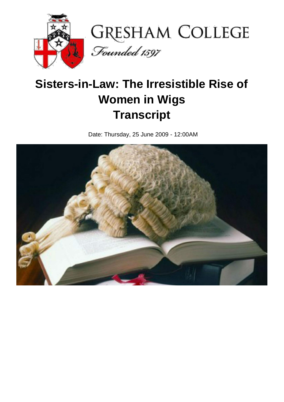

# **Sisters-in-Law: The Irresistible Rise of Women in Wigs Transcript**

Date: Thursday, 25 June 2009 - 12:00AM

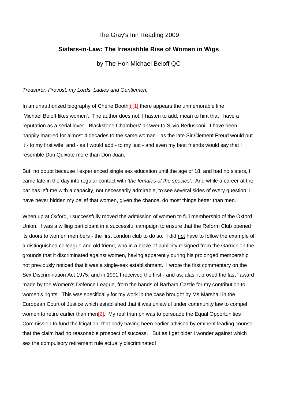### The Gray's Inn Reading 2009

## **Sisters-in-Law: The Irresistible Rise of Women in Wigs**

by The Hon Michael Beloff QC

#### *Treasurer, Provost, my Lords, Ladies and Gentlemen,*

In an unauthorized biography of Cherie Booth<sup>[i][1]</sup> there appears the unmemorable line 'Michael Beloff likes women'. The author does not, I hasten to add, mean to hint that I have a reputation as a serial lover - Blackstone Chambers' answer to Silvio Berlusconi. I have been happily married for almost 4 decades to the same woman - as the late Sir Clement Freud would put it - to my first wife, and - as I would add - to my last - and even my best friends would say that I resemble Don Quixote more than Don Juan.

But, no doubt because I experienced single sex education until the age of 18, and had no sisters, I came late in the day into regular contact with '*the females of the species*'. And while a career at the bar has left me with a capacity, not necessarily admirable, to see several sides of every question, I have never hidden my belief that women, given the chance, do most things better than men.

When up at Oxford, I successfully moved the admission of women to full membership of the Oxford Union. I was a willing participant in a successful campaign to ensure that the Reform Club opened its doors to women members - the first London club to do so. I did not have to follow the example of a distinguished colleague and old friend, who in a blaze of publicity resigned from the Garrick on the grounds that it discriminated against women, having apparently during his prolonged membership not previously noticed that it was a single-sex establishment. I wrote the first commentary on the Sex Discrimination Act 1975, and in 1991 I received the first - and as, alas, it proved the last ' award made by the Women's Defence League, from the hands of Barbara Castle for my contribution to women's rights. This was specifically for my work in the case brought by Ms Marshall in the European Court of Justice which established that it was unlawful under community law to compel women to retire earlier than me[n\[2\].](http://www.gresham.ac.uk/event.asp?PageId=45&EventId=871#_edn3) My real triumph was to persuade the Equal Opportunities Commission to fund the litigation, that body having been earlier advised by eminent leading counsel that the claim had no reasonable prospect of success. But as I get older I wonder against which sex the compulsory retirement rule actually discriminated!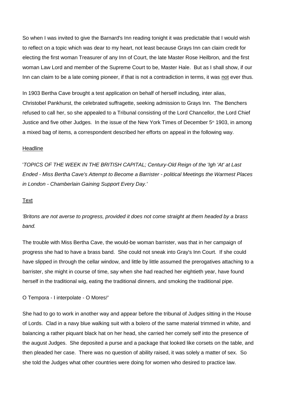So when I was invited to give the Barnard's Inn reading tonight it was predictable that I would wish to reflect on a topic which was dear to my heart, not least because Grays Inn can claim credit for electing the first woman Treasurer of any Inn of Court, the late Master Rose Heilbron, and the first woman Law Lord and member of the Supreme Court to be, Master Hale. But as I shall show, if our Inn can claim to be a late coming pioneer, if that is not a contradiction in terms, it was not ever thus.

In 1903 Bertha Cave brought a test application on behalf of herself including, inter alias, Christobel Pankhurst, the celebrated suffragette, seeking admission to Grays Inn. The Benchers refused to call her, so she appealed to a Tribunal consisting of the Lord Chancellor, the Lord Chief Justice and five other Judges. In the issue of the New York Times of December 5<sup>th</sup> 1903, in among a mixed bag of items, a correspondent described her efforts on appeal in the following way.

#### Headline

'*TOPICS OF THE WEEK IN THE BRITISH CAPITAL; Century-Old Reign of the 'Igh 'At' at Last Ended - Miss Bertha Cave's Attempt to Become a Barrister - political Meetings the Warmest Places in London - Chamberlain Gaining Support Every Day.'*

#### Text

*'Britons are not averse to progress, provided it does not come straight at them headed by a brass band.*

The trouble with Miss Bertha Cave, the would-be woman barrister, was that in her campaign of progress she had to have a brass band. She could not sneak into Gray's Inn Court. If she could have slipped in through the cellar window, and little by little assumed the prerogatives attaching to a barrister, she might in course of time, say when she had reached her eightieth year, have found herself in the traditional wig, eating the traditional dinners, and smoking the traditional pipe.

#### O Tempora - I interpolate - O Mores*!'*

She had to go to work in another way and appear before the tribunal of Judges sitting in the House of Lords. Clad in a navy blue walking suit with a bolero of the same material trimmed in white, and balancing a rather piquant black hat on her head, she carried her comely self into the presence of the august Judges. She deposited a purse and a package that looked like corsets on the table, and then pleaded her case. There was no question of ability raised, it was solely a matter of sex. So she told the Judges what other countries were doing for women who desired to practice law.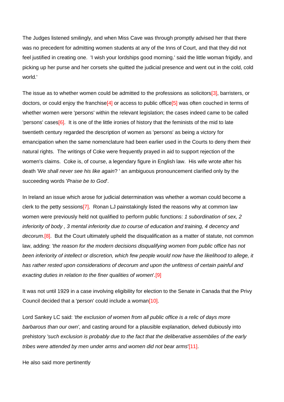The Judges listened smilingly, and when Miss Cave was through promptly advised her that there was no precedent for admitting women students at any of the Inns of Court, and that they did not feel justified in creating one. 'I wish your lordships good morning.' said the little woman frigidly, and picking up her purse and her corsets she quitted the judicial presence and went out in the cold, cold world.'

The issue as to whether women could be admitted to the professions as solicitors<sup>[3]</sup>, barristers, or doctors, or could enjoy the franchise<sup>[4]</sup> or access to public office<sup>[5]</sup> was often couched in terms of whether women were 'persons' within the relevant legislation; the cases indeed came to be called 'persons' cases<sup>[6]</sup>. It is one of the little ironies of history that the feminists of the mid to late twentieth century regarded the description of women as 'persons' as being a victory for emancipation when the same nomenclature had been earlier used in the Courts to deny them their natural rights. The writings of Coke were frequently prayed in aid to support rejection of the women's claims. Coke is, of course, a legendary figure in English law. His wife wrote after his death '*We shall never see his like again*? ' an ambiguous pronouncement clarified only by the succeeding words '*Praise be to God*'.

In Ireland an issue which arose for judicial determination was whether a woman could become a clerk to the petty session[s\[7\].](http://www.gresham.ac.uk/event.asp?PageId=45&EventId=871#_edn8) Ronan LJ painstakingly listed the reasons why at common law women were previously held not qualified to perform public functions: *1 subordination of sex, 2 inferiority of body , 3 mental inferiority due to course of education and training, 4 decency and decorum*[.\[8\].](http://www.gresham.ac.uk/event.asp?PageId=45&EventId=871#_edn9) But the Court ultimately upheld the disqualification as a matter of statute, not common law, adding: 'the reason for the modern decisions disqualifying women from public office has not *been inferiority of intellect or discretion, which few people would now have the likelihood to allege, it has rather rested upon considerations of decorum and upon the unfitness of certain painful and exacting duties in relation to the finer qualities of women*'[.\[9\]](http://www.gresham.ac.uk/event.asp?PageId=45&EventId=871#_edn10)

It was not until 1929 in a case involving eligibility for election to the Senate in Canada that the Privy Council decided that a 'person' could include a woman<sup>[10]</sup>.

Lord Sankey LC said: *'the exclusion of women from all public office is a relic of days more barbarous than our own'*, and casting around for a plausible explanation, delved dubiously into prehistory *'such exclusion is probably due to the fact that the deliberative assemblies of the early tribes were attended by men under arms and women did not bear arms*['\[11\].](http://www.gresham.ac.uk/event.asp?PageId=45&EventId=871#_edn12)

He also said more pertinently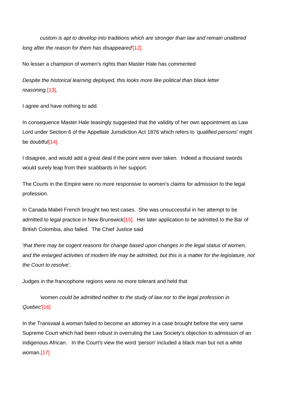*custom is apt to develop into traditions which are stronger than law and remain unaltered long after the reason for them has disappeared*['\[12\].](http://www.gresham.ac.uk/event.asp?PageId=45&EventId=871#_edn13)

No lesser a champion of women's rights than Master Hale has commented

*Despite the historical learning deployed, this looks more like political than black letter reasoning.*[\[13\]](http://www.gresham.ac.uk/event.asp?PageId=45&EventId=871#_edn14)*,*

I agree and have nothing to add.

In consequence Master Hale teasingly suggested that the validity of her own appointment as Law Lord under Section 6 of the Appellate Jurisdiction Act 1876 which refers to *'qualified persons'* might be doubtf[ul\[14\].](http://www.gresham.ac.uk/event.asp?PageId=45&EventId=871#_edn15)

I disagree, and would add a great deal if the point were ever taken. Indeed a thousand swords would surely leap from their scabbards in her support.

The Courts in the Empire were no more responsive to women's claims for admission to the legal profession.

In Canada Mabel French brought two test cases. She was unsuccessful in her attempt to be admitted to legal practice in New Brunswic[k\[15\].](http://www.gresham.ac.uk/event.asp?PageId=45&EventId=871#_edn16) Her later application to be admitted to the Bar of British Colombia, also failed. The Chief Justice said

'*that there may be cogent reasons for change based upon changes in the legal status of women, and the enlarged activities of modern life may be admitted, but this is a matter for the legislature, not the Court to resolve'*.

Judges in the francophone regions were no more tolerant and held that

*'*women could be admitted neither to the study of law nor to the legal profession in *Quebec*['\[16\]](http://www.gresham.ac.uk/event.asp?PageId=45&EventId=871#_edn17)

In the Transvaal a woman failed to become an attorney in a case brought before the very same Supreme Court which had been robust in overruling the Law Society's objection to admission of an indigenous African. In the Court's view the word 'person' included a black man but not a white woman[.\[17\]](http://www.gresham.ac.uk/event.asp?PageId=45&EventId=871#_edn18)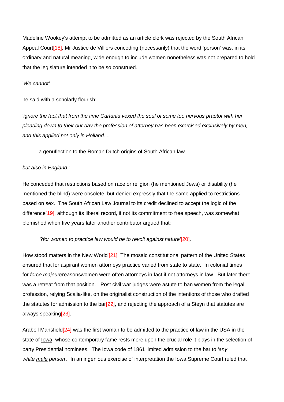Madeline Wookey's attempt to be admitted as an article clerk was rejected by the South African Appeal Court<sup>[18]</sup>, Mr Justice de Villiers conceding (necessarily) that the word 'person' was, in its ordinary and natural meaning, wide enough to include women nonetheless was not prepared to hold that the legislature intended it to be so construed.

#### '*We cannot'*

he said with a scholarly flourish:

'*ignore the fact that from the time Carfania vexed the soul of some too nervous praetor with her pleading down to their our day the profession of attorney has been exercised exclusively by men, and this applied not only in Holland....*

a genuflection to the Roman Dutch origins of South African law ...

#### *but also in England*.'

He conceded that restrictions based on race or religion (he mentioned Jews) or disability (he mentioned the blind) were obsolete, but denied expressly that the same applied to restrictions based on sex. The South African Law Journal to its credit declined to accept the logic of the difference<sup>[19]</sup>, although its liberal record, if not its commitment to free speech, was somewhat blemished when five years later another contributor argued that:

#### ?*for women to practice law would be to revolt against nature*['\[20\].](http://www.gresham.ac.uk/event.asp?PageId=45&EventId=871#_edn21)

How stood matters in the New Worl[d'\[21\]](http://www.gresham.ac.uk/event.asp?PageId=45&EventId=871#_edn22) The mosaic constitutional pattern of the United States ensured that for aspirant women attorneys practice varied from state to state. In colonial times for *force majeure*reasonswomen were often attorneys in fact if not attorneys in law. But later there was a retreat from that position. Post civil war judges were astute to ban women from the legal profession, relying Scalia-like, on the originalist construction of the intentions of those who drafted the statutes for admission to the bar [22], and rejecting the approach of a Steyn that statutes are always speakin[g\[23\].](http://www.gresham.ac.uk/event.asp?PageId=45&EventId=871#_edn24)

Arabell Mansfiel[d\[24\]](http://www.gresham.ac.uk/event.asp?PageId=45&EventId=871#_edn25) was the first woman to be admitted to the practice of law in the USA in the state of <u>Iowa</u>, whose contemporary fame rests more upon the crucial role it plays in the selection of party Presidential nominees. The Iowa code of 1861 limited admission to the bar to *'any white male person'*. In an ingenious exercise of interpretation the Iowa Supreme Court ruled that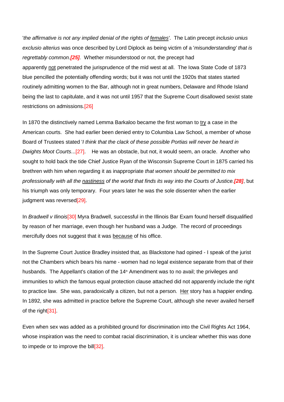'*the affirmative is not any implied denial of the rights of females'*. The Latin precept *inclusio unius exclusio alterius* was once described by Lord Diplock as being victim of a '*misunderstanding' that is regrettably common.[\[25\]](http://www.gresham.ac.uk/event.asp?PageId=45&EventId=871#_edn26).* Whether misunderstood or not, the precept had apparently not penetrated the jurisprudence of the mid west at all. The Iowa State Code of 1873 blue pencilled the potentially offending words; but it was not until the 1920s that states started routinely admitting women to the Bar, although not in great numbers, Delaware and Rhode Island being the last to capitulate, and it was not until 1957 that the Supreme Court disallowed sexist state restrictions on admissions[.\[26\]](http://www.gresham.ac.uk/event.asp?PageId=45&EventId=871#_edn27)

In 1870 the distinctively named Lemma Barkaloo became the first woman to  $try$  a case in the American courts. She had earlier been denied entry to Columbia Law School, a member of whose Board of Trustees stated '*I think that the clack of these possible Portias will never be heard in Dwights Moot Courts*..[.\[27\].](http://www.gresham.ac.uk/event.asp?PageId=45&EventId=871#_edn28) He was an obstacle, but not, it would seem, an oracle. Another who sought to hold back the tide Chief Justice Ryan of the Wisconsin Supreme Court in 1875 carried his brethren with him when regarding it as inappropriate *that women should be permitted to mix professionally with all the nastiness of the world that finds its way into the Courts of Justice.[\[28\]](http://www.gresham.ac.uk/event.asp?PageId=45&EventId=871#_edn29)*, but his triumph was only temporary. Four years later he was the sole dissenter when the earlier judgment was reversed<sup>[29]</sup>.

In *Bradwell v Ilinois*[\[30\]](http://www.gresham.ac.uk/event.asp?PageId=45&EventId=871#_edn31) Myra Bradwell, successful in the Illinois Bar Exam found herself disqualified by reason of her marriage, even though her husband was a Judge. The record of proceedings mercifully does not suggest that it was because of his office.

In the Supreme Court Justice Bradley insisted that, as Blackstone had opined - I speak of the jurist not the Chambers which bears his name - women had no legal existence separate from that of their husbands. The Appellant's citation of the  $14<sup>th</sup>$  Amendment was to no avail; the privileges and immunities to which the famous equal protection clause attached did not apparently include the right to practice law. She was, paradoxically a citizen, but not a person. Her story has a happier ending. In 1892, she was admitted in practice before the Supreme Court, although she never availed herself of the righ[t\[31\].](http://www.gresham.ac.uk/event.asp?PageId=45&EventId=871#_edn32)

Even when sex was added as a prohibited ground for discrimination into the Civil Rights Act 1964, whose inspiration was the need to combat racial discrimination, it is unclear whether this was done to impede or to improve the bil[l\[32\].](http://www.gresham.ac.uk/event.asp?PageId=45&EventId=871#_edn33)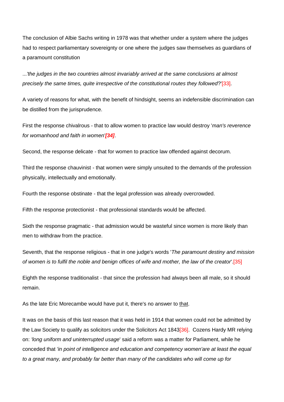The conclusion of Albie Sachs writing in 1978 was that whether under a system where the judges had to respect parliamentary sovereignty or one where the judges saw themselves as guardians of a paramount constitution

...*'the judges in the two countries almost invariably arrived at the same conclusions at almost precisely the same times, quite irrespective of the constitutional routes they followed*[?'\[33\].](http://www.gresham.ac.uk/event.asp?PageId=45&EventId=871#_edn34)

A variety of reasons for what, with the benefit of hindsight, seems an indefensible discrimination can be distilled from the jurisprudence.

First the response chivalrous - that to allow women to practice law would destroy '*man's reverence for womanhood and faith in women'[\[34\]](http://www.gresham.ac.uk/event.asp?PageId=45&EventId=871#_edn35)*.

Second, the response delicate - that for women to practice law offended against decorum.

Third the response chauvinist - that women were simply unsuited to the demands of the profession physically, intellectually and emotionally.

Fourth the response obstinate - that the legal profession was already overcrowded.

Fifth the response protectionist - that professional standards would be affected.

Sixth the response pragmatic - that admission would be wasteful since women is more likely than men to withdraw from the practice.

Seventh, that the response religious - that in one judge's words '*The paramount destiny and mission of women is to fulfil the noble and benign offices of wife and mother, the law of the creator*'[.\[35\]](http://www.gresham.ac.uk/event.asp?PageId=45&EventId=871#_edn36)

Eighth the response traditionalist - that since the profession had always been all male, so it should remain.

As the late Eric Morecambe would have put it, there's no answer to that.

It was on the basis of this last reason that it was held in 1914 that women could not be admitted by the Law Society to qualify as solicitors under the Solicitors Act 184[3\[36\].](http://www.gresham.ac.uk/event.asp?PageId=45&EventId=871#_edn37) Cozens Hardy MR relying on: *'long uniform and uninterrupted usage*' said a reform was a matter for Parliament, while he conceded that *'in point of intelligence and education and competency women'are at least the equal to a great many, and probably far better than many of the candidates who will come up for*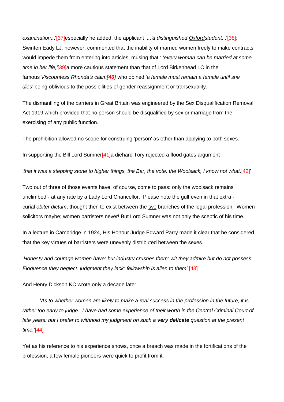*examination*..[.'\[37\]e](http://www.gresham.ac.uk/event.asp?PageId=45&EventId=871#_edn38)specially he added, the applicant *...'a distinguished Oxfordstudent*..[.'\[38\];](http://www.gresham.ac.uk/event.asp?PageId=45&EventId=871#_edn39) Swinfen Eady LJ, however, commented that the inability of married women freely to make contracts would impede them from entering into articles, musing that : *'every woman can be married at some time in her life,'*[\[39\]a](http://www.gresham.ac.uk/event.asp?PageId=45&EventId=871#_edn40) more cautious statement than that of Lord Birkenhead LC in the famous *Viscountess Rhonda's claim[\[40\]](http://www.gresham.ac.uk/event.asp?PageId=45&EventId=871#_edn41)* who opined '*a female must remain a female until she dies'* being oblivious to the possibilities of gender reassignment or transexuality.

The dismantling of the barriers in Great Britain was engineered by the Sex Disqualification Removal Act 1919 which provided that no person should be disqualified by sex or marriage from the exercising of any public function.

The prohibition allowed no scope for construing 'person' as other than applying to both sexes.

In supporting the Bill Lord Sumner $[41]$ a diehard Tory rejected a flood gates argument

'*that it was a stepping stone to higher things, the Bar, the vote, the Woolsack, I know not what*[.\[42\]'](http://www.gresham.ac.uk/event.asp?PageId=45&EventId=871#_edn43)

Two out of three of those events have, of course, come to pass: only the woolsack remains unclimbed - at any rate by a Lady Lord Chancellor. Please note the gulf even in that extra curial *obiter dictum*, thought then to exist between the two branches of the legal profession. Women solicitors maybe; women barristers never! But Lord Sumner was not only the sceptic of his time.

In a lecture in Cambridge in 1924, His Honour Judge Edward Parry made it clear that he considered that the key virtues of barristers were unevenly distributed between the sexes.

'*Honesty and courage women have: but industry crushes them: wit they admire but do not possess. Eloquence they neglect: judgment they lack: fellowship is alien to them'.*[\[43\]](http://www.gresham.ac.uk/event.asp?PageId=45&EventId=871#_edn44)

And Henry Dickson KC wrote only a decade later:

 '*As to whether women are likely to make a real success in the profession in the future, it is rather too early to judge. I have had some experience of their worth in the Central Criminal Court of late years: but I prefer to withhold my judgment on such a very delicate question at the present time.'*[\[44\]](http://www.gresham.ac.uk/event.asp?PageId=45&EventId=871#_edn45)

Yet as his reference to his experience shows, once a breach was made in the fortifications of the profession, a few female pioneers were quick to profit from it.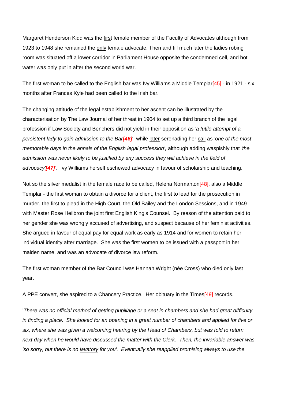Margaret Henderson Kidd was the first female member of the Faculty of Advocates although from 1923 to 1948 she remained the only female advocate. Then and till much later the ladies robing room was situated off a lower corridor in Parliament House opposite the condemned cell, and hot water was only put in after the second world war.

The first woman to be called to the English bar was Ivy Williams a Middle Templa[r\[45\]](http://www.gresham.ac.uk/event.asp?PageId=45&EventId=871#_edn46) - in 1921 - six months after Frances Kyle had been called to the Irish bar.

The changing attitude of the legal establishment to her ascent can be illustrated by the characterisation by The Law Journal of her threat in 1904 to set up a third branch of the legal profession if Law Society and Benchers did not yield in their opposition as *'a futile attempt of a persistent lady to gain admission to the Bar[\[46\]](http://www.gresham.ac.uk/event.asp?PageId=45&EventId=871#_edn47)*', while later serenading her call as *'one of the most memorable days in the annals of the English legal profession',* although adding waspishly that *'the admission was never likely to be justified by any success they will achieve in the field of advocacy'[\[47\]](http://www.gresham.ac.uk/event.asp?PageId=45&EventId=871#_edn48)'*. Ivy Williams herself eschewed advocacy in favour of scholarship and teaching.

Not so the silver medalist in the female race to be called, Helena Normanton $[48]$ , also a Middle Templar - the first woman to obtain a divorce for a client, the first to lead for the prosecution in murder, the first to plead in the High Court, the Old Bailey and the London Sessions, and in 1949 with Master Rose Heilbron the joint first English King's Counsel. By reason of the attention paid to her gender she was wrongly accused of advertising, and suspect because of her feminist activities. She argued in favour of equal pay for equal work as early as 1914 and for women to retain her individual identity after marriage. She was the first women to be issued with a passport in her maiden name, and was an advocate of divorce law reform.

The first woman member of the Bar Council was Hannah Wright (née Cross) who died only last year.

A PPE convert, she aspired to a Chancery Practice. Her obituary in the Time[s\[49\]](http://www.gresham.ac.uk/event.asp?PageId=45&EventId=871#_edn50) records.

'*There was no official method of getting pupillage or a seat in chambers and she had great difficulty in finding a place. She looked for an opening in a great number of chambers and applied for five or six, where she was given a welcoming hearing by the Head of Chambers, but was told to return next day when he would have discussed the matter with the Clerk. Then, the invariable answer was 'so sorry, but there is no lavatory for you'. Eventually she reapplied promising always to use the*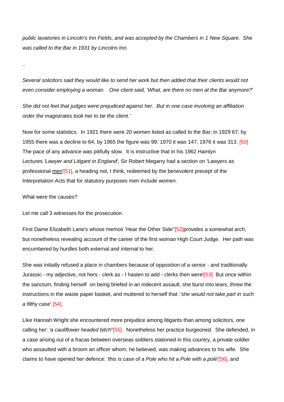*public lavatories in Lincoln's Inn Fields, and was accepted by the Chambers in 1 New Square. She was called to the Bar in 1931 by Lincolns Inn.*

*..*

*Several solicitors said they would like to send her work but then added that their clients would not even consider employing a woman. One client said, 'What, are there no men at the Bar anymore?'*

*She did not feel that judges were prejudiced against her. But in one case involving an affiliation order the magistrates took her to be the client.'*

Now for some statistics. In 1921 there were 20 women listed as called to the Bar; in 1929 67; by 1955 there was a decline to 64, by 1965 the figure was 99: 1970 it was 147, 1976 it was 313. [\[50\]](http://www.gresham.ac.uk/event.asp?PageId=45&EventId=871#_edn51)  The pace of any advance was pitifully slow. It is instructive that in his 1962 Hamlyn Lectures *'Lawyer and Litigant in England*', Sir Robert Megarry had a section on 'Lawyers as professional men['\[51\],](http://www.gresham.ac.uk/event.asp?PageId=45&EventId=871#_edn52) a heading not, I think, redeemed by the benevolent precept of the Interpretation Acts that for statutory purposes men include women.

What were the causes?

Let me call 3 witnesses for the prosecution.

First Dame Elizabeth Lane's whose memoir 'Hear the Other Side''<sup>[52]</sup>provides a somewhat arch, but nonetheless revealing account of the career of the first woman High Court Judge. Her path was encumbered by hurdles both external and internal to her.

She was initially refused a place in chambers because of opposition of a senior - and traditionally Jurassic - my adjective, not hers - clerk as - I hasten to add - clerks then were[!\[53\]](http://www.gresham.ac.uk/event.asp?PageId=45&EventId=871#_edn54) But once within the sanctum, finding herself on being briefed in an indecent assault, she burst into tears, threw the instructions in the waste paper basket, and muttered to herself that :*'she would not take part in such a filthy case*' [\[54\].](http://www.gresham.ac.uk/event.asp?PageId=45&EventId=871#_edn55)

Like Hannah Wright she encountered more prejudice among litigants than among solicitors, one calling her: *'a cauliflower headed bitch*[''\[55\].](http://www.gresham.ac.uk/event.asp?PageId=45&EventId=871#_edn56) Nonetheless her practice burgeoned. She defended, in a case arising out of a fracas between overseas soldiers stationed in this country, a private soldier who assaulted with a broom an officer whom, he believed, was making advances to his wife. She claims to have opened her defence: *'this is case of a Pole who hit a Pole with a pole*['\[56\],](http://www.gresham.ac.uk/event.asp?PageId=45&EventId=871#_edn57) and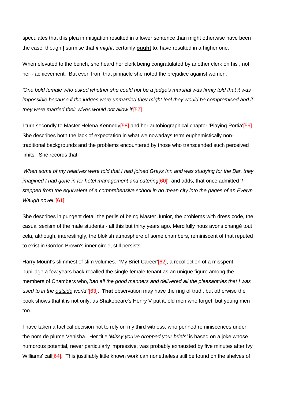speculates that this plea in mitigation resulted in a lower sentence than might otherwise have been the case, though I surmise that *it might*, certainly **ought** to, have resulted in a higher one.

When elevated to the bench, she heard her clerk being congratulated by another clerk on his , not her - achievement. But even from that pinnacle she noted the prejudice against women.

*'One bold female who asked whether she could not be a judge's marshal was firmly told that it was*  impossible because if the judges were unmarried they might feel they would be compromised and if *they were married their wives would not allow it*['\[57\].](http://www.gresham.ac.uk/event.asp?PageId=45&EventId=871#_edn58)

I turn secondly to Master Helena Kenned[y\[58\]](http://www.gresham.ac.uk/event.asp?PageId=45&EventId=871#_edn59) and her autobiographical chapter 'Playing Porti[a'\[59\].](http://www.gresham.ac.uk/event.asp?PageId=45&EventId=871#_edn60) She describes both the lack of expectation in what we nowadays term euphemistically nontraditional backgrounds and the problems encountered by those who transcended such perceived limits. She records that:

'*When some of my relatives were told that I had joined Grays Inn and was studying for the Bar, they imagined I had gone in for hotel management and catering*[\[60\]',](http://www.gresham.ac.uk/event.asp?PageId=45&EventId=871#_edn61) and adds, that once admitted '*I stepped from the equivalent of a comprehensive school in no mean city into the pages of an Evelyn Waugh novel*[.'\[61\]](http://www.gresham.ac.uk/event.asp?PageId=45&EventId=871#_edn62)

She describes in pungent detail the perils of being Master Junior, the problems with dress code, the casual sexism of the male students - all this but thirty years ago. Mercifully nous avons changé tout cela, although, interestingly, the blokish atmosphere of some chambers, reminiscent of that reputed to exist in Gordon Brown's inner circle, still persists.

Harry Mount's slimmest of slim volumes. 'My Brief Career'<sup>[62]</sup>, a recollection of a misspent pupillage a few years back recalled the single female tenant as an unique figure among the members of Chambers who,*'had all the good manners and delivered all the pleasantries that I was used to in the outside world*[.'\[63\].](http://www.gresham.ac.uk/event.asp?PageId=45&EventId=871#_edn64) **That** observation may have the ring of truth, but otherwise the book shows that it is not only, as Shakepeare's Henry V put it, old men who forget, but young men too.

I have taken a tactical decision not to rely on my third witness, who penned reminiscences under the nom de plume Venisha. Her title '*Missy you've dropped your briefs'* is based on a joke whose humorous potential, never particularly impressive, was probably exhausted by five minutes after Ivy Williams' call<sup>[64]</sup>. This justifiably little known work can nonetheless still be found on the shelves of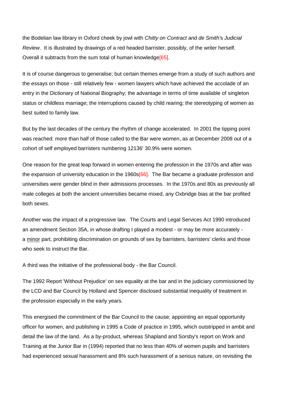the Bodelian law library in Oxford cheek by jowl with *Chitty on Contract* and *de Smith'*s *Judicial Review*. It is illustrated by drawings of a red headed barrister, possibly, of the writer herself. Overall it subtracts from the sum total of human knowledge<sup>[65]</sup>.

It is of course dangerous to generalise; but certain themes emerge from a study of such authors and the essays on those - still relatively few - women lawyers which have achieved the accolade of an entry in the Dictionary of National Biography; the advantage in terms of time available of singleton status or childless marriage; the interruptions caused by child rearing; the stereotyping of women as best suited to family law.

But by the last decades of the century the rhythm of change accelerated. In 2001 the tipping point was reached: more than half of those called to the Bar were women, as at December 2008 out of a cohort of self employed barristers numbering 12136' 30.9% were women.

One reason for the great leap forward in women entering the profession in the 1970s and after was the expansion of university education in the 1960s<sup>[66]</sup>. The Bar became a graduate profession and universities were gender blind in their admissions processes. In the 1970s and 80s as previously all male colleges at both the ancient universities became mixed, any Oxbridge bias at the bar profited both sexes.

Another was the impact of a progressive law. The Courts and Legal Services Act 1990 introduced an amendment Section 35A, in whose drafting I played a modest - or may be more accurately a minor part, prohibiting discrimination on grounds of sex by barristers, barristers' clerks and those who seek to instruct the Bar.

A third was the initiative of the professional body - the Bar Council.

The 1992 Report 'Without Prejudice' on sex equality at the bar and in the judiciary commissioned by the LCD and Bar Council by Holland and Spencer disclosed substantial inequality of treatment in the profession especially in the early years.

This energised the commitment of the Bar Council to the cause; appointing an equal opportunity officer for women, and publishing in 1995 a Code of practice in 1995, which outstripped in ambit and detail the law of the land. As a by-product, whereas Shapland and Sorsby's report on Work and Training at the Junior Bar in (1994) reported that no less than 40% of women pupils and barristers had experienced sexual harassment and 8% such harassment of a serious nature, on revisiting the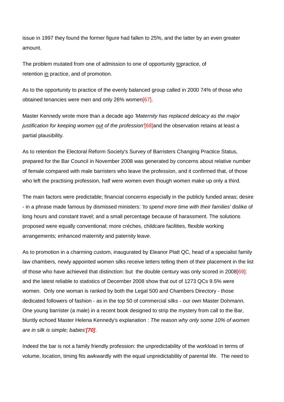issue in 1997 they found the former figure had fallen to 25%, and the latter by an even greater amount.

The problem mutated from one of admission to one of opportunity topractice, of retention in practice, and of promotion.

As to the opportunity to practice of the evenly balanced group called in 2000 74% of those who obtained tenancies were men and only 26% wome[n\[67\].](http://www.gresham.ac.uk/event.asp?PageId=45&EventId=871#_edn68)

Master Kennedy wrote more than a decade ago *'Maternity has replaced delicacy as the major justification for keeping women out of the profession'*[\[68\]a](http://www.gresham.ac.uk/event.asp?PageId=45&EventId=871#_edn69)nd the observation retains at least a partial plausibility*.*

As to retention the Electoral Reform Society's Survey of Barristers Changing Practice Status, prepared for the Bar Council in November 2008 was generated by concerns about relative number of female compared with male barristers who leave the profession, and it confirmed that, of those who left the practising profession, half were women even though women make up only a third.

The main factors were predictable; financial concerns especially in the publicly funded areas; desire - in a phrase made famous by dismissed ministers: *'to spend more time with their families*' dislike of long hours and constant travel; and a small percentage because of harassment. The solutions proposed were equally conventional; more créches, childcare facilities, flexible working arrangements; enhanced maternity and paternity leave.

As to promotion in a charming custom, inaugurated by Eleanor Platt QC, head of a specialist family law chambers, newly appointed women silks receive letters telling them of their placement in the list of those who have achieved that distinction: but the double century was only scored in 200[8\[69\]:](http://www.gresham.ac.uk/event.asp?PageId=45&EventId=871#_edn70) and the latest reliable to statistics of December 2008 show that out of 1273 QCs 9.5% were women. Only one woman is ranked by both the Legal 500 and Chambers Directory - those dedicated followers of fashion - as in the top 50 of commercial silks - our own Master Dohmann. One young barrister (a male) in a recent book designed to strip the mystery from call to the Bar, bluntly echoed Master Helena Kennedy's explanation : *The reason why only some 10% of women are in silk is simple; babies'[\[70\]](http://www.gresham.ac.uk/event.asp?PageId=45&EventId=871#_edn71)*.

Indeed the bar is not a family friendly profession: the unpredictability of the workload in terms of volume, location, timing fits awkwardly with the equal unpredictability of parental life. The need to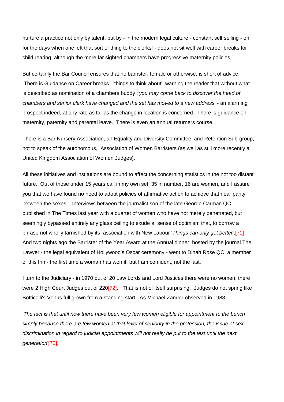nurture a practice not only by talent, but by - in the modern legal culture - constant self selling - oh for the days when one left that sort of thing to the clerks! - does not sit well with career breaks for child rearing, although the more far sighted chambers have progressive maternity policies.

But certainly the Bar Council ensures that no barrister, female or otherwise, is short of advice. There is Guidance on Career breaks. 'things to think about', warning the reader that without what is described as nomination of a chambers buddy :*'you may come back to discover the head of chambers and senior clerk have changed and the set has moved to a new address*' - an alarming prospect indeed, at any rate as far as the change in location is concerned. There is guidance on maternity, paternity and parental leave. There is even an annual returners course.

There is a Bar Nursery Association, an Equality and Diversity Committee, and Retention Sub-group, not to speak of the autonomous, Association of Women Barristers (as well as still more recently a United Kingdom Association of Women Judges).

All these initiatives and institutions are bound to affect the concerning statistics in the not too distant future. Out of those under 15 years call in my own set, 35 in number, 16 are women, and I assure you that we have found no need to adopt policies of affirmative action to achieve that near parity between the sexes. Interviews between the journalist son of the late George Carman QC published in The Times last year with a quartet of women who have not merely penetrated, but seemingly bypassed entirely any glass ceiling to exude a sense of optimism that, to borrow a phrase not wholly tarnished by its association with New Labour '*Things can only get better*'[.\[71\]](http://www.gresham.ac.uk/event.asp?PageId=45&EventId=871#_edn72)  And two nights ago the Barrister of the Year Award at the Annual dinner hosted by the journal The Lawyer - the legal equivalent of Hollywood's Oscar ceremony - went to Dinah Rose QC, a member of this Inn - the first time a woman has won it, but I am confident, not the last.

I turn to the Judiciary - in 1970 out of 20 Law Lords and Lord Justices there were no women, there were 2 High Court Judges out of 220<sup>[72]</sup>. That is not of itself surprising. Judges do not spring like Botticelli's Venus full grown from a standing start. As Michael Zander observed in 1988:

'*The fact is that until now there have been very few women eligible for appointment to the bench simply because there are few women at that level of seniority in the profession, the issue of sex discrimination in regard to judicial appointments will not really be put to the test until the next generation*['\[73\].](http://www.gresham.ac.uk/event.asp?PageId=45&EventId=871#_edn74)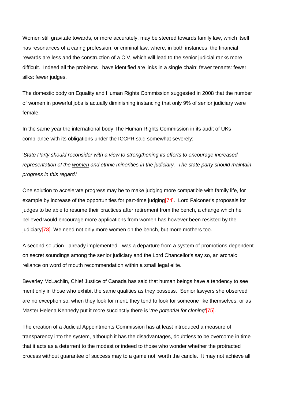Women still gravitate towards, or more accurately, may be steered towards family law, which itself has resonances of a caring profession, or criminal law, where, in both instances, the financial rewards are less and the construction of a C.V, which will lead to the senior judicial ranks more difficult. Indeed all the problems I have identified are links in a single chain: fewer tenants: fewer silks: fewer judges.

The domestic body on Equality and Human Rights Commission suggested in 2008 that the number of women in powerful jobs is actually diminishing instancing that only 9% of senior judiciary were female.

In the same year the international body The Human Rights Commission in its audit of UKs compliance with its obligations under the ICCPR said somewhat severely:

'*State Party should reconsider with a view to strengthening its efforts to encourage increased representation of the women and ethnic minorities in the judiciary. The state party should maintain progress in this regard*.'

One solution to accelerate progress may be to make judging more compatible with family life, for example by increase of the opportunities for part-time judgin[g\[74\].](http://www.gresham.ac.uk/event.asp?PageId=45&EventId=871#_edn75) Lord Falconer's proposals for judges to be able to resume their practices after retirement from the bench, a change which he believed would encourage more applications from women has however been resisted by the judiciar[y\[78\].](http://www.gresham.ac.uk/event.asp?PageId=45&EventId=871#_edn76) We need not only more women on the bench, but more mothers too.

A second solution - already implemented - was a departure from a system of promotions dependent on secret soundings among the senior judiciary and the Lord Chancellor's say so, an archaic reliance on word of mouth recommendation within a small legal elite.

Beverley McLachlin, Chief Justice of Canada has said that human beings have a tendency to see merit only in those who exhibit the same qualities as they possess. Senior lawyers she observed are no exception so, when they look for merit, they tend to look for someone like themselves, or as Master Helena Kennedy put it more succinctly there is '*the potential for cloning'*[\[75\].](http://www.gresham.ac.uk/event.asp?PageId=45&EventId=871#_edn77)

The creation of a Judicial Appointments Commission has at least introduced a measure of transparency into the system, although it has the disadvantages, doubtless to be overcome in time that it acts as a deterrent to the modest or indeed to those who wonder whether the protracted process without guarantee of success may to a game not worth the candle. It may not achieve all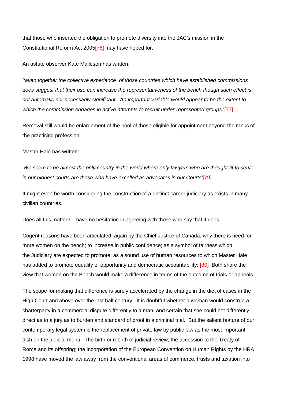that those who inserted the obligation to promote diversity into the JAC's mission in the Constitutional Reform Act 200[5\[76\]](http://www.gresham.ac.uk/event.asp?PageId=45&EventId=871#_edn78) may have hoped for.

An astute observer Kate Malleson has written.

*'taken together the collective experience of those countries which have established commissions does suggest that their use can increase the representativeness of the bench though such effect is not automatic nor necessarily significant. An important variable would appear to be the extent to which the commission engages in active attempts to recruit under-represented groups*.['\[77\]](http://www.gresham.ac.uk/event.asp?PageId=45&EventId=871#_edn79)

Removal still would be enlargement of the pool of those eligible for appointment beyond the ranks of the practising profession.

Master Hale has written:

'We seem to be almost the only country in the world where only lawyers who are thought fit to serve *in our highest courts are those who have excelled as advocates in our Courts'*[\[79\].](http://www.gresham.ac.uk/event.asp?PageId=45&EventId=871#_edn80)

It might even be worth considering the construction of a distinct career judiciary as exists in many civilian countries.

Does all this matter? I have no hesitation in agreeing with those who say that it does.

Cogent reasons have been articulated, again by the Chief Justice of Canada, why there is need for more women on the bench; to increase in public confidence; as a symbol of fairness which the Judiciary are expected to promote; as a sound use of human resources to which Master Hale has added to promote equality of opportunity and democratic accountability: [\[80\]](http://www.gresham.ac.uk/event.asp?PageId=45&EventId=871#_edn81) Both share the view that women on the Bench would make a difference in terms of the outcome of trials or appeals.

The scope for making that difference is surely accelerated by the change in the diet of cases in the High Court and above over the last half century. It is doubtful whether a woman would construe a charterparty in a commercial dispute differently to a man: and certain that she could not differently direct as to a jury as to burden and standard of proof in a criminal trial. But the salient feature of our contemporary legal system is the replacement of private law by public law as the most important dish on the judicial menu. The birth or rebirth of judicial review; the accession to the Treaty of Rome and its offspring; the incorporation of the European Convention on Human Rights by the HRA 1998 have moved the law away from the conventional areas of commerce, trusts and taxation into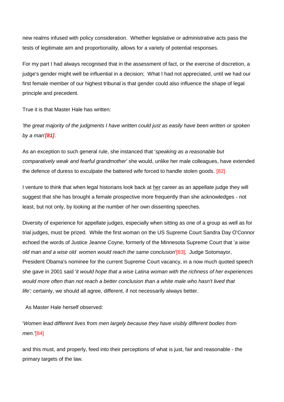new realms infused with policy consideration. Whether legislative or administrative acts pass the tests of legitimate aim and proportionality, allows for a variety of potential responses.

For my part I had always recognised that in the assessment of fact, or the exercise of discretion, a judge's gender might well be influential in a decision; What I had not appreciated, until we had our first female member of our highest tribunal is that gender could also influence the shape of legal principle and precedent.

True it is that Master Hale has written*:*

*the great majority of the judgments I have written could just as easily have been written or spoken by a man'[\[81\]](http://www.gresham.ac.uk/event.asp?PageId=45&EventId=871#_edn82)*.

As an exception to such general rule, she instanced that '*speaking as a reasonable but comparatively weak and fearful grandmother'* she would, unlike her male colleagues, have extended the defence of duress to exculpate the battered wife forced to handle stolen goods. [\[82\]](http://www.gresham.ac.uk/event.asp?PageId=45&EventId=871#_edn83)

I venture to think that when legal historians look back at her career as an appellate judge they will suggest that she has brought a female prospective more frequently than she acknowledges - not least, but not only, by looking at the number of her own dissenting speeches.

Diversity of experience for appellate judges, especially when sitting as one of a group as well as for trial judges, must be prized. While the first woman on the US Supreme Court Sandra Day O'Connor echoed the words of Justice Jeanne Coyne, formerly of the Minnesota Supreme Court that '*a wise old man and a wise old women would reach the same conclusion*['\[83\],](http://www.gresham.ac.uk/event.asp?PageId=45&EventId=871#_edn84) Judge Sotomayor, President Obama's nominee for the current Supreme Court vacancy, in a now much quoted speech she gave in 2001 said '*it would hope that a wise Latina woman with the richness of her experiences would more often than not reach a better conclusion than a white male who hasn't lived that life';* certainly, we should all agree, different, if not necessarily always better.

As Master Hale herself observed:

'*Women lead different lives from men largely because they have visibly different bodies from men.'*[\[84\]](http://www.gresham.ac.uk/event.asp?PageId=45&EventId=871#_edn85)

and this must, and properly, feed into their perceptions of what is just, fair and reasonable - the primary targets of the law.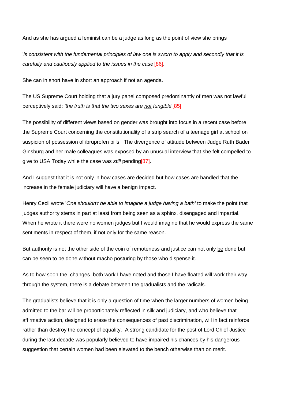And as she has argued a feminist can be a judge as long as the point of view she brings

'*is consistent with the fundamental principles of law one is sworn to apply and secondly that it is carefully and cautiously applied to the issues in the case'*[\[86\].](http://www.gresham.ac.uk/event.asp?PageId=45&EventId=871#_edn86)

She can in short have in short an approach if not an agenda.

The US Supreme Court holding that a jury panel composed predominantly of men was not lawful perceptively said: *'the truth is that the two sexes are not fungible*['\[85\].](http://www.gresham.ac.uk/event.asp?PageId=45&EventId=871#_edn87)

The possibility of different views based on gender was brought into focus in a recent case before the Supreme Court concerning the constitutionality of a strip search of a teenage girl at school on suspicion of possession of ibruprofen pills. The divergence of attitude between Judge Ruth Bader Ginsburg and her male colleagues was exposed by an unusual interview that she felt compelled to give to USA Today while the case was *still* pendin[g\[87\].](http://www.gresham.ac.uk/event.asp?PageId=45&EventId=871#_edn88)

And I suggest that it is not only in how cases are decided but how cases are handled that the increase in the female judiciary will have a benign impact.

Henry Cecil wrote '*One shouldn't be able to imagine a judge having a bath'* to make the point that judges authority stems in part at least from being seen as a sphinx, disengaged and impartial. When he wrote it there were no women judges but I would imagine that he would express the same sentiments in respect of them, if not only for the same reason.

But authority is not the other side of the coin of remoteness and justice can not only be done but can be seen to be done without macho posturing by those who dispense it.

As to how soon the changes both work I have noted and those I have floated will work their way through the system, there is a debate between the gradualists and the radicals.

The gradualists believe that it is only a question of time when the larger numbers of women being admitted to the bar will be proportionately reflected in silk and judiciary, and who believe that affirmative action, designed to erase the consequences of past discrimination, will in fact reinforce rather than destroy the concept of equality. A strong candidate for the post of Lord Chief Justice during the last decade was popularly believed to have impaired his chances by his dangerous suggestion that certain women had been elevated to the bench otherwise than on merit.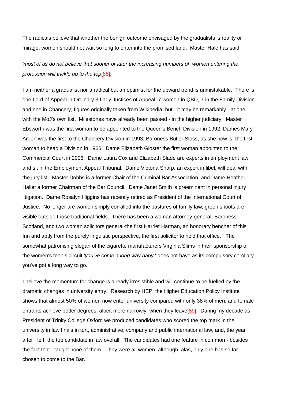The radicals believe that whether the benign outcome envisaged by the gradualists is reality or mirage, women should not wait so long to enter into the promised land. Master Hale has said:

## *'most of us do not believe that sooner or later the increasing numbers of women entering the profession will trickle up to the top*[\[88\].](http://www.gresham.ac.uk/event.asp?PageId=45&EventId=871#_edn89)'

I am neither a gradualist nor a radical but an optimist for the upward trend is unmistakable. There is one Lord of Appeal in Ordinary 3 Lady Justices of Appeal, 7 women in QBD, 7 in the Family Division and one in Chancery, figures originally taken from Wikipedia, but - it may be remarkably - at one with the MoJ's own list. Milestones have already been passed - in the higher judiciary. Master Ebsworth was the first woman to be appointed to the Queen's Bench Division in 1992; Dames Mary Arden was the first to the Chancery Division in 1993; Baroness Butler Sloss, as she now is, the first woman to head a Division in 1966. Dame Elizabeth Gloster the first woman appointed to the Commercial Court in 2006. Dame Laura Cox and Elizabeth Slade are experts in employment law and sit in the Employment Appeal Tribunal. Dame Victoria Sharp, an expert in libel, will deal with the jury list. Master Dobbs is a former Chair of the Criminal Bar Association, and Dame Heather Hallet a former Chairman of the Bar Council. Dame Janet Smith is preeminent in personal injury litigation. Dame Rosalyn Higgins has recently retired as President of the International Court of Justice. No longer are women simply corralled into the pastures of family law; green shoots are visible outside those traditional fields. There has been a woman attorney-general, Baroness Scotland, and two woman solicitors general-the first Harriet Harman, an honorary bencher of this Inn and aptly from the purely linguistic perspective, the first solicitor to hold that office. The somewhat patronising slogan of the cigarette manufacturers Virginia Slims in their sponsorship of the women's tennis circuit.*'you've come a long way baby*.' does not have as its compulsory corollary you've got a long way to go.

I believe the momentum for change is already irresistible and will continue to be fuelled by the dramatic changes in university entry. Research by HEPI the Higher Education Policy Institute shows that almost 50% of women now enter university compared with only 38% of men; and female entrants achieve better degrees, albeit more narrowly, when they leave<sup>[89]</sup>. During my decade as President of Trinity College Oxford we produced candidates who scored the top mark in the university in law finals in tort, administrative, company and public international law, and, the year after I left, the top candidate in law overall. The candidates had one feature in common - besides the fact that I taught none of them. They were all women, although, alas, only one has so far chosen to come to the Bar.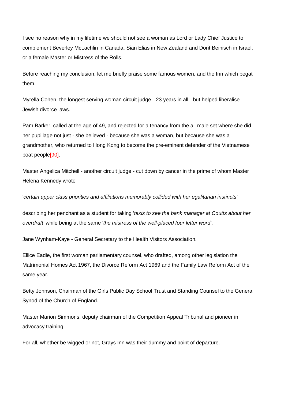I see no reason why in my lifetime we should not see a woman as Lord or Lady Chief Justice to complement Beverley McLachlin in Canada, Sian Elias in New Zealand and Dorit Beinisch in Israel, or a female Master or Mistress of the Rolls.

Before reaching my conclusion, let me briefly praise some famous women, and the Inn which begat them.

Myrella Cohen, the longest serving woman circuit judge - 23 years in all - but helped liberalise Jewish divorce laws.

Pam Barker, called at the age of 49, and rejected for a tenancy from the all male set where she did her pupillage not just - she believed - because she was a woman, but because she was a grandmother, who returned to Hong Kong to become the pre-eminent defender of the Vietnamese boat peopl[e\[90\].](http://www.gresham.ac.uk/event.asp?PageId=45&EventId=871#_edn91)

Master Angelica Mitchell - another circuit judge - cut down by cancer in the prime of whom Master Helena Kennedy wrote

'*certain upper class priorities and affiliations memorably collided with her egalitarian instincts'*

describing her penchant as a student for taking '*taxis to see the bank manager at Coutts about her overdraft'* while being at the same '*the mistress of the well-placed four letter word'*.

Jane Wynham-Kaye - General Secretary to the Health Visitors Association.

Ellice Eadie, the first woman parliamentary counsel, who drafted, among other legislation the Matrimonial Homes Act 1967, the Divorce Reform Act 1969 and the Family Law Reform Act of the same year.

Betty Johnson, Chairman of the Girls Public Day School Trust and Standing Counsel to the General Synod of the Church of England.

Master Marion Simmons, deputy chairman of the Competition Appeal Tribunal and pioneer in advocacy training.

For all, whether be wigged or not, Grays Inn was their dummy and point of departure.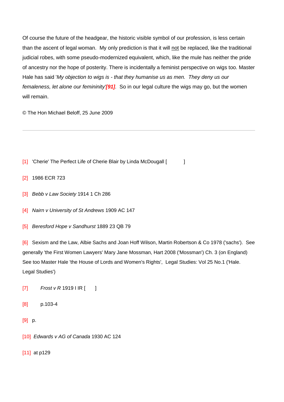Of course the future of the headgear, the historic visible symbol of our profession, is less certain than the ascent of legal woman. My only prediction is that it will not be replaced, like the traditional judicial robes, with some pseudo-modernized equivalent, which, like the mule has neither the pride of ancestry nor the hope of posterity. There is incidentally a feminist perspective on wigs too. Master Hale has said '*My objection to wigs is - that they humanise us as men. They deny us our femaleness, let alone our femininity'[\[91\]](http://www.gresham.ac.uk/event.asp?PageId=45&EventId=871#_edn92).* So in our legal culture the wigs may go, but the women will remain.

© The Hon Michael Beloff, 25 June 2009

[\[1\]](http://www.gresham.ac.uk/event.asp?PageId=45&EventId=871#_ednref2) 'Cherie' The Perfect Life of Cherie Blair by Linda McDougall [ ]

[\[2\]](http://www.gresham.ac.uk/event.asp?PageId=45&EventId=871#_ednref3) 1986 ECR 723

- [\[3\]](http://www.gresham.ac.uk/event.asp?PageId=45&EventId=871#_ednref4) *Bebb v Law Society* 1914 1 Ch 286
- [\[4\]](http://www.gresham.ac.uk/event.asp?PageId=45&EventId=871#_ednref5) *Nairn v University of St Andrews* 1909 AC 147
- [\[5\]](http://www.gresham.ac.uk/event.asp?PageId=45&EventId=871#_ednref6) *Beresford Hope v Sandhurst* 1889 23 QB 79

[\[6\]](http://www.gresham.ac.uk/event.asp?PageId=45&EventId=871#_ednref7) Sexism and the Law, Albie Sachs and Joan Hoff Wilson, Martin Robertson & Co 1978 ('sachs'). See generally 'the First Women Lawyers' Mary Jane Mossman, Hart 2008 ('Mossman') Ch. 3 (on England) See too Master Hale 'the House of Lords and Women's Rights', Legal Studies: Vol 25 No.1 ('Hale. Legal Studies')

- [\[7\]](http://www.gresham.ac.uk/event.asp?PageId=45&EventId=871#_ednref8) *Frost v R* 1919 I IR [ ]
- [\[8\]](http://www.gresham.ac.uk/event.asp?PageId=45&EventId=871#_ednref9) p.103-4
- [\[9\]](http://www.gresham.ac.uk/event.asp?PageId=45&EventId=871#_ednref10) p.
- [\[10\]](http://www.gresham.ac.uk/event.asp?PageId=45&EventId=871#_ednref11) *Edwards v AG of Canada* 1930 AC 124
- [\[11\]](http://www.gresham.ac.uk/event.asp?PageId=45&EventId=871#_ednref12) at p129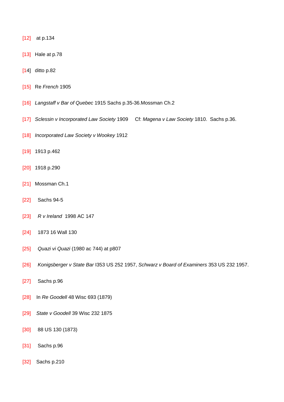- [\[12\]](http://www.gresham.ac.uk/event.asp?PageId=45&EventId=871#_ednref13) at p.134
- [\[13\]](http://www.gresham.ac.uk/event.asp?PageId=45&EventId=871#_ednref14) Hale at p.78
- [\[14](http://www.gresham.ac.uk/event.asp?PageId=45&EventId=871#_ednref15)] ditto p.82
- [\[15\]](http://www.gresham.ac.uk/event.asp?PageId=45&EventId=871#_ednref16) Re *French* 1905
- [\[16\]](http://www.gresham.ac.uk/event.asp?PageId=45&EventId=871#_ednref17) *Langstaff v Bar of Quebec* 1915 Sachs p.35-36.Mossman Ch.2
- [\[17\]](http://www.gresham.ac.uk/event.asp?PageId=45&EventId=871#_ednref18) *Sclessin v Incorporated Law Society* 1909 Cf: *Magena v Law Society* 1810. Sachs p.36.
- [\[18\]](http://www.gresham.ac.uk/event.asp?PageId=45&EventId=871#_ednref19) *Incorporated Law Society v Wookey* 1912
- [\[19\]](http://www.gresham.ac.uk/event.asp?PageId=45&EventId=871#_ednref20) 1913 p.462
- [\[20\]](http://www.gresham.ac.uk/event.asp?PageId=45&EventId=871#_ednref21) 1918 p.290
- [\[21\]](http://www.gresham.ac.uk/event.asp?PageId=45&EventId=871#_ednref22) Mossman Ch.1
- [\[22\]](http://www.gresham.ac.uk/event.asp?PageId=45&EventId=871#_ednref23) Sachs 94-5
- [\[23\]](http://www.gresham.ac.uk/event.asp?PageId=45&EventId=871#_ednref24) *R v Ireland* 1998 AC 147
- [\[24\]](http://www.gresham.ac.uk/event.asp?PageId=45&EventId=871#_ednref25) 1873 16 Wall 130
- [\[25\]](http://www.gresham.ac.uk/event.asp?PageId=45&EventId=871#_ednref26) *Quazi vi Quazi* (1980 ac 744) at p807
- [\[26\]](http://www.gresham.ac.uk/event.asp?PageId=45&EventId=871#_ednref27) *Konigsberger v State Bar* I353 US 252 1957, *Schwarz v Board of Examiners* 353 US 232 1957.
- [\[27\]](http://www.gresham.ac.uk/event.asp?PageId=45&EventId=871#_ednref28) Sachs p.96
- [\[28\]](http://www.gresham.ac.uk/event.asp?PageId=45&EventId=871#_ednref29) In *Re Goodell* 48 Wisc 693 (1879)
- [\[29\]](http://www.gresham.ac.uk/event.asp?PageId=45&EventId=871#_ednref30) *State v Goodell* 39 Wisc 232 1875
- [\[30\]](http://www.gresham.ac.uk/event.asp?PageId=45&EventId=871#_ednref31) 88 US 130 (1873)
- [\[31\]](http://www.gresham.ac.uk/event.asp?PageId=45&EventId=871#_ednref32) Sachs p.96
- [\[32\]](http://www.gresham.ac.uk/event.asp?PageId=45&EventId=871#_ednref33) Sachs p.210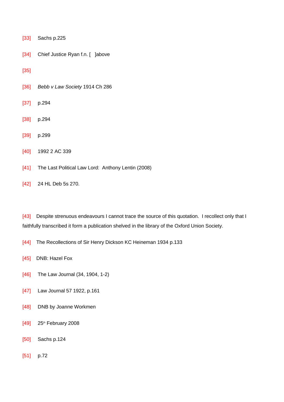- [\[33\]](http://www.gresham.ac.uk/event.asp?PageId=45&EventId=871#_ednref34) Sachs p.225
- [\[34\]](http://www.gresham.ac.uk/event.asp?PageId=45&EventId=871#_ednref35) Chief Justice Ryan f.n. [ ]above
- [\[35\]](http://www.gresham.ac.uk/event.asp?PageId=45&EventId=871#_ednref36)
- [\[36\]](http://www.gresham.ac.uk/event.asp?PageId=45&EventId=871#_ednref37) *Bebb v Law Society* 1914 Ch 286
- [\[37\]](http://www.gresham.ac.uk/event.asp?PageId=45&EventId=871#_ednref38) p.294
- [\[38\]](http://www.gresham.ac.uk/event.asp?PageId=45&EventId=871#_ednref39) p.294
- [\[39\]](http://www.gresham.ac.uk/event.asp?PageId=45&EventId=871#_ednref40) p.299
- [\[40\]](http://www.gresham.ac.uk/event.asp?PageId=45&EventId=871#_ednref41) 1992 2 AC 339
- [\[41\]](http://www.gresham.ac.uk/event.asp?PageId=45&EventId=871#_ednref42) The Last Political Law Lord: Anthony Lentin (2008)
- [\[42\]](http://www.gresham.ac.uk/event.asp?PageId=45&EventId=871#_ednref43) 24 HL Deb 5s 270.

[\[43\]](http://www.gresham.ac.uk/event.asp?PageId=45&EventId=871#_ednref44) Despite strenuous endeavours I cannot trace the source of this quotation. I recollect only that I faithfully transcribed it form a publication shelved in the library of the Oxford Union Society.

- [\[44\]](http://www.gresham.ac.uk/event.asp?PageId=45&EventId=871#_ednref45) The Recollections of Sir Henry Dickson KC Heineman 1934 p.133
- [\[45\]](http://www.gresham.ac.uk/event.asp?PageId=45&EventId=871#_ednref46) DNB: Hazel Fox
- [\[46\]](http://www.gresham.ac.uk/event.asp?PageId=45&EventId=871#_ednref47) The Law Journal (34, 1904, 1-2)
- [\[47\]](http://www.gresham.ac.uk/event.asp?PageId=45&EventId=871#_ednref48) Law Journal 57 1922, p.161
- [\[48\]](http://www.gresham.ac.uk/event.asp?PageId=45&EventId=871#_ednref49) DNB by Joanne Workmen
- $[49]$  25<sup>th</sup> February 2008
- [\[50\]](http://www.gresham.ac.uk/event.asp?PageId=45&EventId=871#_ednref51) Sachs p.124
- [\[51\]](http://www.gresham.ac.uk/event.asp?PageId=45&EventId=871#_ednref52) p.72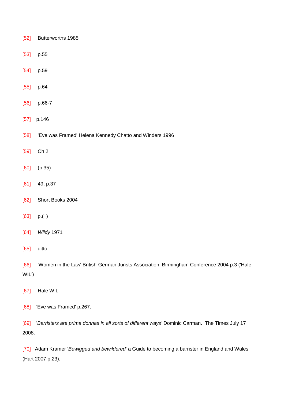[\[52\]](http://www.gresham.ac.uk/event.asp?PageId=45&EventId=871#_ednref53) Butterworths 1985 [\[53\]](http://www.gresham.ac.uk/event.asp?PageId=45&EventId=871#_ednref54) p.55 [\[54\]](http://www.gresham.ac.uk/event.asp?PageId=45&EventId=871#_ednref55) p.59 [\[55\]](http://www.gresham.ac.uk/event.asp?PageId=45&EventId=871#_ednref56) p.64 [\[56\]](http://www.gresham.ac.uk/event.asp?PageId=45&EventId=871#_ednref57) p.66-7 [\[57\]](http://www.gresham.ac.uk/event.asp?PageId=45&EventId=871#_ednref58) p.146 [\[58\]](http://www.gresham.ac.uk/event.asp?PageId=45&EventId=871#_ednref59) 'Eve was Framed' Helena Kennedy Chatto and Winders 1996 [\[59\]](http://www.gresham.ac.uk/event.asp?PageId=45&EventId=871#_ednref60) Ch 2 [\[60\]](http://www.gresham.ac.uk/event.asp?PageId=45&EventId=871#_ednref61) (p.35) [\[61\]](http://www.gresham.ac.uk/event.asp?PageId=45&EventId=871#_ednref62) 49, p.37 [\[62\]](http://www.gresham.ac.uk/event.asp?PageId=45&EventId=871#_ednref63) Short Books 2004 [\[63\]](http://www.gresham.ac.uk/event.asp?PageId=45&EventId=871#_ednref64) p.( ) [\[64\]](http://www.gresham.ac.uk/event.asp?PageId=45&EventId=871#_ednref65) *Wildy* 1971 [\[65\]](http://www.gresham.ac.uk/event.asp?PageId=45&EventId=871#_ednref66) ditto

[\[66\]](http://www.gresham.ac.uk/event.asp?PageId=45&EventId=871#_ednref67) 'Women in the Law' British-German Jurists Association, Birmingham Conference 2004 p.3 ('Hale WIL')

[\[67\]](http://www.gresham.ac.uk/event.asp?PageId=45&EventId=871#_ednref68) Hale WIL

[\[68\]](http://www.gresham.ac.uk/event.asp?PageId=45&EventId=871#_ednref69) 'Eve was Framed' p.267.

[\[69\]](http://www.gresham.ac.uk/event.asp?PageId=45&EventId=871#_ednref70) '*Barristers are prima donnas in all sorts of different ways'* Dominic Carman. The Times July 17 2008.

[\[70\]](http://www.gresham.ac.uk/event.asp?PageId=45&EventId=871#_ednref71) Adam Kramer '*Bewigged and bewildered*' a Guide to becoming a barrister in England and Wales (Hart 2007 p.23).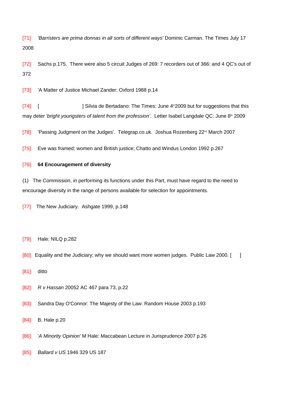[\[71\]](http://www.gresham.ac.uk/event.asp?PageId=45&EventId=871#_ednref72) *'Barristers are prima donnas in all sorts of different ways'* Dominic Carman. The Times July 17 2008

[\[72\]](http://www.gresham.ac.uk/event.asp?PageId=45&EventId=871#_ednref73) Sachs p.175. There were also 5 circuit Judges of 269: 7 recorders out of 366: and 4 QC's out of 372

[\[73\]](http://www.gresham.ac.uk/event.asp?PageId=45&EventId=871#_ednref74) 'A Matter of Justice Michael Zander: Oxford 1988 p.14

[\[74\]](http://www.gresham.ac.uk/event.asp?PageId=45&EventId=871#_ednref75) [ ] Silvia de Bertadano: The Times: June 4<sup>th</sup> 2009 but for suggestions that this may deter '*bright youngsters of talent from the profession'*. Letter Isabel Langdale QC: June 8<sup>th</sup> 2009

[\[78\]](http://www.gresham.ac.uk/event.asp?PageId=45&EventId=871#_ednref76) 'Passing Judgment on the Judges'. Telegrap.co.uk. Joshua Rozenberg  $22^{\text{nd}}$  March 2007

[\[75\]](http://www.gresham.ac.uk/event.asp?PageId=45&EventId=871#_ednref77) Eve was framed; women and British justice; Chatto and Windus London 1992 p.267

#### [\[76\]](http://www.gresham.ac.uk/event.asp?PageId=45&EventId=871#_ednref78) **64 Encouragement of diversity**

(1) The Commission, in performing its functions under this Part, must have regard to the need to encourage diversity in the range of persons available for selection for appointments.

[\[77\]](http://www.gresham.ac.uk/event.asp?PageId=45&EventId=871#_ednref79) The New Judiciary. Ashgate 1999, p.148

- [\[79\]](http://www.gresham.ac.uk/event.asp?PageId=45&EventId=871#_ednref80) Hale: NILQ p.282
- $[80]$  Equality and the Judiciary; why we should want more women judges. Public Law 2000.  $[$  ]
- [\[81\]](http://www.gresham.ac.uk/event.asp?PageId=45&EventId=871#_ednref82) ditto
- [\[82\]](http://www.gresham.ac.uk/event.asp?PageId=45&EventId=871#_ednref83) *R v Hassan* 20052 AC 467 para 73, p.22
- [\[83\]](http://www.gresham.ac.uk/event.asp?PageId=45&EventId=871#_ednref84) Sandra Day O'Connor: The Majesty of the Law: Random House 2003 p.193
- [\[84\]](http://www.gresham.ac.uk/event.asp?PageId=45&EventId=871#_ednref85) B. Hale p.20
- [\[86\]](http://www.gresham.ac.uk/event.asp?PageId=45&EventId=871#_ednref86) '*A Minority Opinion'* M Hale: Maccabean Lecture in Jurisprudence 2007 p.26
- [\[85\]](http://www.gresham.ac.uk/event.asp?PageId=45&EventId=871#_ednref87) *Ballard v US* 1946 329 US 187